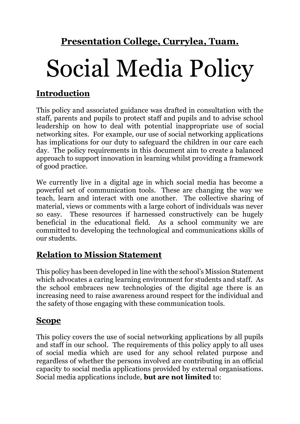**Presentation College, Currylea, Tuam.**

# Social Media Policy

# **Introduction**

This policy and associated guidance was drafted in consultation with the staff, parents and pupils to protect staff and pupils and to advise school leadership on how to deal with potential inappropriate use of social networking sites. For example, our use of social networking applications has implications for our duty to safeguard the children in our care each day. The policy requirements in this document aim to create a balanced approach to support innovation in learning whilst providing a framework of good practice.

We currently live in a digital age in which social media has become a powerful set of communication tools. These are changing the way we teach, learn and interact with one another. The collective sharing of material, views or comments with a large cohort of individuals was never so easy. These resources if harnessed constructively can be hugely beneficial in the educational field. As a school community we are committed to developing the technological and communications skills of our students.

### **Relation to Mission Statement**

This policy has been developed in line with the school's Mission Statement which advocates a caring learning environment for students and staff. As the school embraces new technologies of the digital age there is an increasing need to raise awareness around respect for the individual and the safety of those engaging with these communication tools.

### **Scope**

This policy covers the use of social networking applications by all pupils and staff in our school. The requirements of this policy apply to all uses of social media which are used for any school related purpose and regardless of whether the persons involved are contributing in an official capacity to social media applications provided by external organisations. Social media applications include, **but are not limited** to: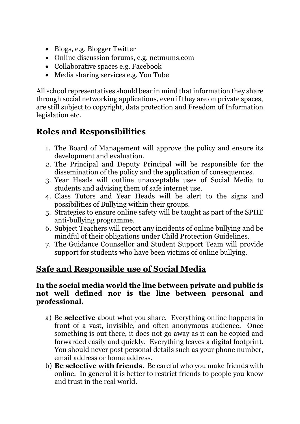- Blogs, e.g. Blogger Twitter
- Online discussion forums, e.g. netmums.com
- Collaborative spaces e.g. Facebook
- Media sharing services e.g. You Tube

All school representatives should bear in mind that information they share through social networking applications, even if they are on private spaces, are still subject to copyright, data protection and Freedom of Information legislation etc.

# **Roles and Responsibilities**

- 1. The Board of Management will approve the policy and ensure its development and evaluation.
- 2. The Principal and Deputy Principal will be responsible for the dissemination of the policy and the application of consequences.
- 3. Year Heads will outline unacceptable uses of Social Media to students and advising them of safe internet use.
- 4. Class Tutors and Year Heads will be alert to the signs and possibilities of Bullying within their groups.
- 5. Strategies to ensure online safety will be taught as part of the SPHE anti-bullying programme.
- 6. Subject Teachers will report any incidents of online bullying and be mindful of their obligations under Child Protection Guidelines.
- 7. The Guidance Counsellor and Student Support Team will provide support for students who have been victims of online bullying.

# **Safe and Responsible use of Social Media**

#### **In the social media world the line between private and public is not well defined nor is the line between personal and professional.**

- a) Be **selective** about what you share. Everything online happens in front of a vast, invisible, and often anonymous audience. Once something is out there, it does not go away as it can be copied and forwarded easily and quickly. Everything leaves a digital footprint. You should never post personal details such as your phone number, email address or home address.
- b) **Be selective with friends**. Be careful who you make friends with online. In general it is better to restrict friends to people you know and trust in the real world.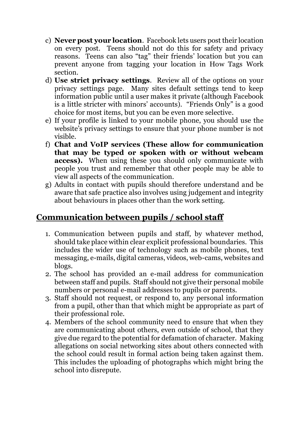- c) **Never post your location**. Facebook lets users post their location on every post. Teens should not do this for safety and privacy reasons. Teens can also "tag" their friends' location but you can prevent anyone from tagging your location in How Tags Work section.
- d) **Use strict privacy settings**. Review all of the options on your privacy settings page. Many sites default settings tend to keep information public until a user makes it private (although Facebook is a little stricter with minors' accounts). "Friends Only" is a good choice for most items, but you can be even more selective.
- e) If your profile is linked to your mobile phone, you should use the website's privacy settings to ensure that your phone number is not visible.
- f) **Chat and VoIP services (These allow for communication that may be typed or spoken with or without webcam access).** When using these you should only communicate with people you trust and remember that other people may be able to view all aspects of the communication.
- g) Adults in contact with pupils should therefore understand and be aware that safe practice also involves using judgement and integrity about behaviours in places other than the work setting.

# **Communication between pupils / school staff**

- 1. Communication between pupils and staff, by whatever method, should take place within clear explicit professional boundaries. This includes the wider use of technology such as mobile phones, text messaging, e-mails, digital cameras, videos, web-cams, websites and blogs.
- 2. The school has provided an e-mail address for communication between staff and pupils. Staff should not give their personal mobile numbers or personal e-mail addresses to pupils or parents.
- 3. Staff should not request, or respond to, any personal information from a pupil, other than that which might be appropriate as part of their professional role.
- 4. Members of the school community need to ensure that when they are communicating about others, even outside of school, that they give due regard to the potential for defamation of character. Making allegations on social networking sites about others connected with the school could result in formal action being taken against them. This includes the uploading of photographs which might bring the school into disrepute.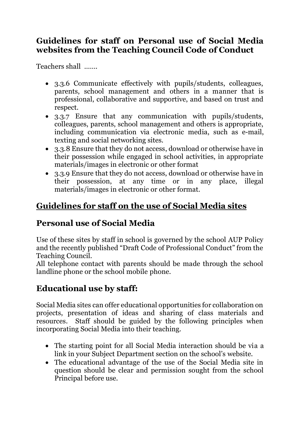## **Guidelines for staff on Personal use of Social Media websites from the Teaching Council Code of Conduct**

Teachers shall …….

- 3.3.6 Communicate effectively with pupils/students, colleagues, parents, school management and others in a manner that is professional, collaborative and supportive, and based on trust and respect.
- 3.3.7 Ensure that any communication with pupils/students, colleagues, parents, school management and others is appropriate, including communication via electronic media, such as e-mail, texting and social networking sites.
- 3.3.8 Ensure that they do not access, download or otherwise have in their possession while engaged in school activities, in appropriate materials/images in electronic or other format
- 3.3.9 Ensure that they do not access, download or otherwise have in their possession, at any time or in any place, illegal materials/images in electronic or other format.

# **Guidelines for staff on the use of Social Media sites**

# **Personal use of Social Media**

Use of these sites by staff in school is governed by the school AUP Policy and the recently published "Draft Code of Professional Conduct" from the Teaching Council.

All telephone contact with parents should be made through the school landline phone or the school mobile phone.

# **Educational use by staff:**

Social Media sites can offer educational opportunities for collaboration on projects, presentation of ideas and sharing of class materials and resources. Staff should be guided by the following principles when incorporating Social Media into their teaching.

- The starting point for all Social Media interaction should be via a link in your Subject Department section on the school's website.
- The educational advantage of the use of the Social Media site in question should be clear and permission sought from the school Principal before use.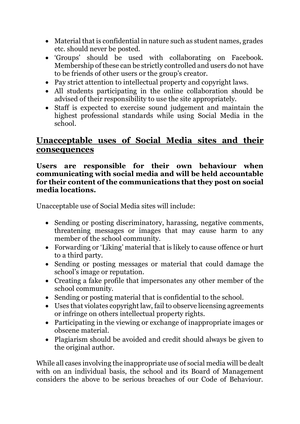- Material that is confidential in nature such as student names, grades etc. should never be posted.
- 'Groups' should be used with collaborating on Facebook. Membership of these can be strictly controlled and users do not have to be friends of other users or the group's creator.
- Pay strict attention to intellectual property and copyright laws.
- All students participating in the online collaboration should be advised of their responsibility to use the site appropriately.
- Staff is expected to exercise sound judgement and maintain the highest professional standards while using Social Media in the school.

### **Unacceptable uses of Social Media sites and their consequences**

#### **Users are responsible for their own behaviour when communicating with social media and will be held accountable for their content of the communications that they post on social media locations.**

Unacceptable use of Social Media sites will include:

- Sending or posting discriminatory, harassing, negative comments, threatening messages or images that may cause harm to any member of the school community.
- Forwarding or 'Liking' material that is likely to cause offence or hurt to a third party.
- Sending or posting messages or material that could damage the school's image or reputation.
- Creating a fake profile that impersonates any other member of the school community.
- Sending or posting material that is confidential to the school.
- Uses that violates copyright law, fail to observe licensing agreements or infringe on others intellectual property rights.
- Participating in the viewing or exchange of inappropriate images or obscene material.
- Plagiarism should be avoided and credit should always be given to the original author.

While all cases involving the inappropriate use of social media will be dealt with on an individual basis, the school and its Board of Management considers the above to be serious breaches of our Code of Behaviour.